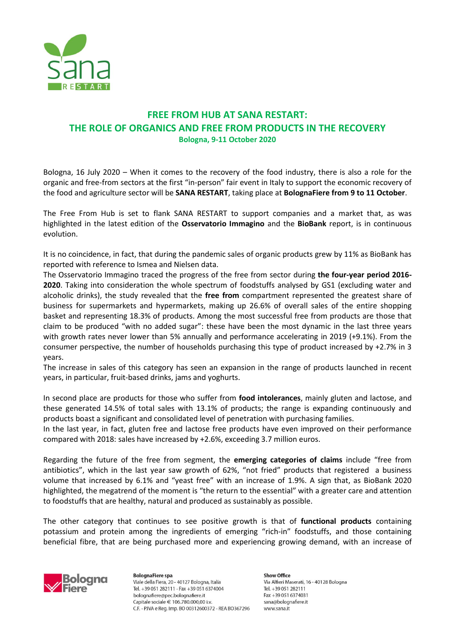

## **FREE FROM HUB AT SANA RESTART: THE ROLE OF ORGANICS AND FREE FROM PRODUCTS IN THE RECOVERY Bologna, 9-11 October 2020**

Bologna, 16 July 2020 – When it comes to the recovery of the food industry, there is also a role for the organic and free-from sectors at the first "in-person" fair event in Italy to support the economic recovery of the food and agriculture sector will be **SANA RESTART**, taking place at **BolognaFiere from 9 to 11 October**.

The Free From Hub is set to flank SANA RESTART to support companies and a market that, as was highlighted in the latest edition of the **Osservatorio Immagino** and the **BioBank** report, is in continuous evolution.

It is no coincidence, in fact, that during the pandemic sales of organic products grew by 11% as BioBank has reported with reference to Ismea and Nielsen data.

The Osservatorio Immagino traced the progress of the free from sector during **the four-year period 2016- 2020**. Taking into consideration the whole spectrum of foodstuffs analysed by GS1 (excluding water and alcoholic drinks), the study revealed that the **free from** compartment represented the greatest share of business for supermarkets and hypermarkets, making up 26.6% of overall sales of the entire shopping basket and representing 18.3% of products. Among the most successful free from products are those that claim to be produced "with no added sugar": these have been the most dynamic in the last three years with growth rates never lower than 5% annually and performance accelerating in 2019 (+9.1%). From the consumer perspective, the number of households purchasing this type of product increased by +2.7% in 3 years.

The increase in sales of this category has seen an expansion in the range of products launched in recent years, in particular, fruit-based drinks, jams and yoghurts.

In second place are products for those who suffer from **food intolerances**, mainly gluten and lactose, and these generated 14.5% of total sales with 13.1% of products; the range is expanding continuously and products boast a significant and consolidated level of penetration with purchasing families.

In the last year, in fact, gluten free and lactose free products have even improved on their performance compared with 2018: sales have increased by +2.6%, exceeding 3.7 million euros.

Regarding the future of the free from segment, the **emerging categories of claims** include "free from antibiotics", which in the last year saw growth of 62%, "not fried" products that registered a business volume that increased by 6.1% and "yeast free" with an increase of 1.9%. A sign that, as BioBank 2020 highlighted, the megatrend of the moment is "the return to the essential" with a greater care and attention to foodstuffs that are healthy, natural and produced as sustainably as possible.

The other category that continues to see positive growth is that of **functional products** containing potassium and protein among the ingredients of emerging "rich-in" foodstuffs, and those containing beneficial fibre, that are being purchased more and experiencing growing demand, with an increase of



**BolognaFiere spa** Viale della Fiera, 20 - 40127 Bologna, Italia Tel. +39 051 282111 - Fax +39 051 6374004 bolognafiere@pec.bolognafiere.it Capitale sociale  $\in$  106.780.000.00 i.v. C.F. - P.IVA e Reg. Imp. BO 00312600372 - REA BO367296

**Show Office** Via Alfieri Maserati, 16 - 40128 Bologna Tel. +39 051 282111 Fax +39 051 6374031 sana@bolognafiere.it www.sana.it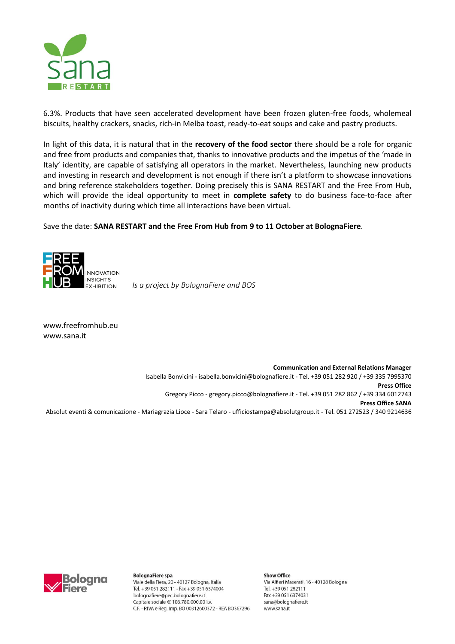

6.3%. Products that have seen accelerated development have been frozen gluten-free foods, wholemeal biscuits, healthy crackers, snacks, rich-in Melba toast, ready-to-eat soups and cake and pastry products.

In light of this data, it is natural that in the **recovery of the food sector** there should be a role for organic and free from products and companies that, thanks to innovative products and the impetus of the 'made in Italy' identity, are capable of satisfying all operators in the market. Nevertheless, launching new products and investing in research and development is not enough if there isn't a platform to showcase innovations and bring reference stakeholders together. Doing precisely this is SANA RESTART and the Free From Hub, which will provide the ideal opportunity to meet in **complete safety** to do business face-to-face after months of inactivity during which time all interactions have been virtual.

Save the date: **SANA RESTART and the Free From Hub from 9 to 11 October at BolognaFiere**.



*Is a project by BolognaFiere and BOS*

[www.freefromhub.eu](http://www.freefromhub.eu/) [www.sana.it](http://www.sana.it/)

**Communication and External Relations Manager** Isabella Bonvicini - [isabella.bonvicini@bolognafiere.it](mailto:sabella.bonvicini@bolognafiere.it) - Tel. +39 051 282 920 / +39 335 7995370 **Press Office**  Gregory Picco - [gregory.picco@bolognafiere.it](mailto:gregory.picco@bolognafiere.it) - Tel. +39 051 282 862 / +39 334 6012743 **Press Office SANA** Absolut eventi & comunicazione - Mariagrazia Lioce - Sara Telaro - [ufficiostampa@absolutgroup.it](mailto:ufficiostampa@absolutgroup.it) - Tel. 051 272523 / 340 9214636

> **Show Office** Viale della Fiera, 20 - 40127 Bologna, Italia Via Alfieri Maserati, 16 - 40128 Bologna Tel. +39 051 282111 - Fax +39 051 6374004 Tel. +39 051 282111 Fax +39 051 6374031 bolognafiere@pec.bolognafiere.it Capitale sociale € 106.780.000.00 i.v. sana@bolognafiere.it C.F. - P.IVA e Reg. Imp. BO 00312600372 - REA BO367296 www.sana.it



**BolognaFiere spa**